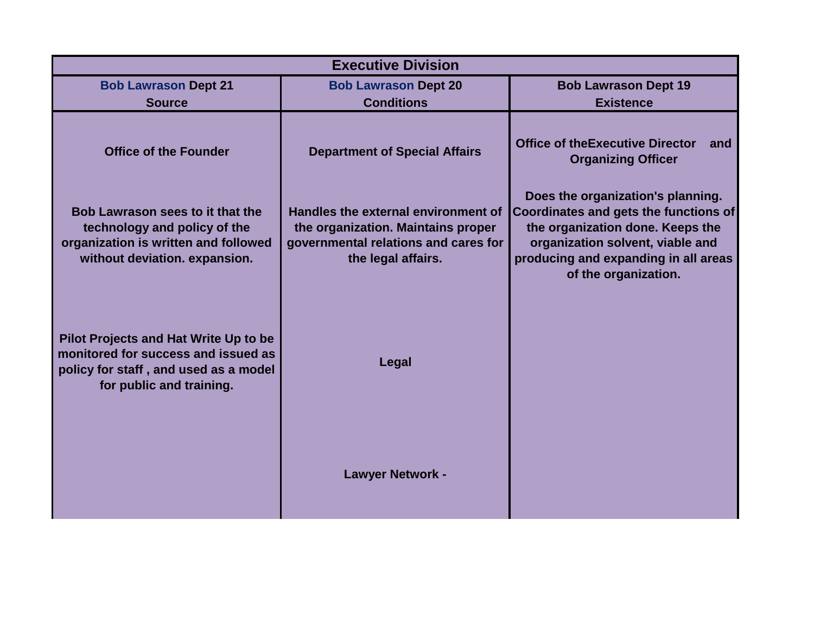| <b>Executive Division</b>                                                                                                                                |                                                                                                                                         |                                                                                                                                                                                                                    |
|----------------------------------------------------------------------------------------------------------------------------------------------------------|-----------------------------------------------------------------------------------------------------------------------------------------|--------------------------------------------------------------------------------------------------------------------------------------------------------------------------------------------------------------------|
| <b>Bob Lawrason Dept 21</b>                                                                                                                              | <b>Bob Lawrason Dept 20</b>                                                                                                             | <b>Bob Lawrason Dept 19</b>                                                                                                                                                                                        |
| <b>Source</b>                                                                                                                                            | <b>Conditions</b>                                                                                                                       | <b>Existence</b>                                                                                                                                                                                                   |
| <b>Office of the Founder</b>                                                                                                                             | <b>Department of Special Affairs</b>                                                                                                    | <b>Office of the Executive Director</b><br>and<br><b>Organizing Officer</b>                                                                                                                                        |
| Bob Lawrason sees to it that the<br>technology and policy of the<br>organization is written and followed<br>without deviation. expansion.                | Handles the external environment of<br>the organization. Maintains proper<br>governmental relations and cares for<br>the legal affairs. | Does the organization's planning.<br>Coordinates and gets the functions of<br>the organization done. Keeps the<br>organization solvent, viable and<br>producing and expanding in all areas<br>of the organization. |
| <b>Pilot Projects and Hat Write Up to be</b><br>monitored for success and issued as<br>policy for staff, and used as a model<br>for public and training. | Legal                                                                                                                                   |                                                                                                                                                                                                                    |
|                                                                                                                                                          | <b>Lawyer Network -</b>                                                                                                                 |                                                                                                                                                                                                                    |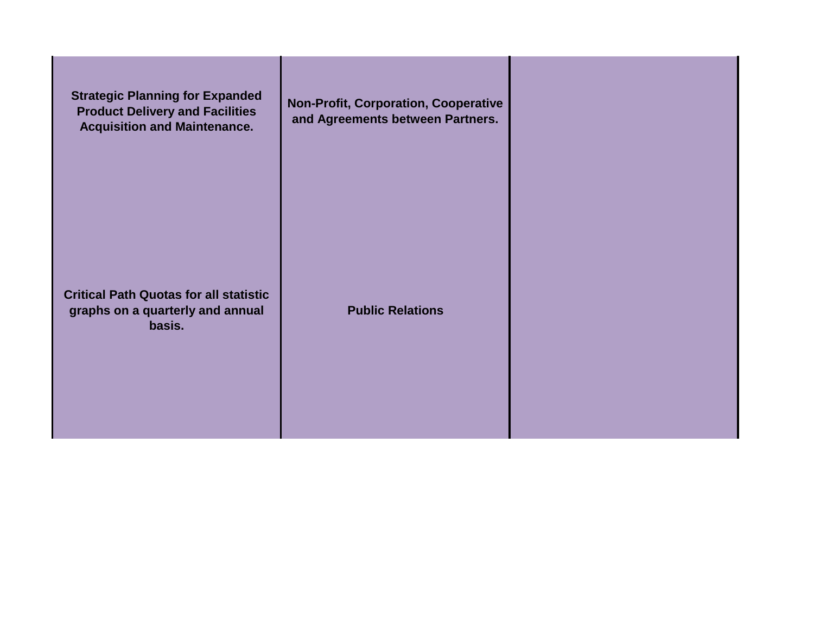| <b>Strategic Planning for Expanded</b><br><b>Product Delivery and Facilities</b><br><b>Acquisition and Maintenance.</b> | Non-Profit, Corporation, Cooperative<br>and Agreements between Partners. |  |
|-------------------------------------------------------------------------------------------------------------------------|--------------------------------------------------------------------------|--|
| <b>Critical Path Quotas for all statistic</b><br>graphs on a quarterly and annual<br>basis.                             | <b>Public Relations</b>                                                  |  |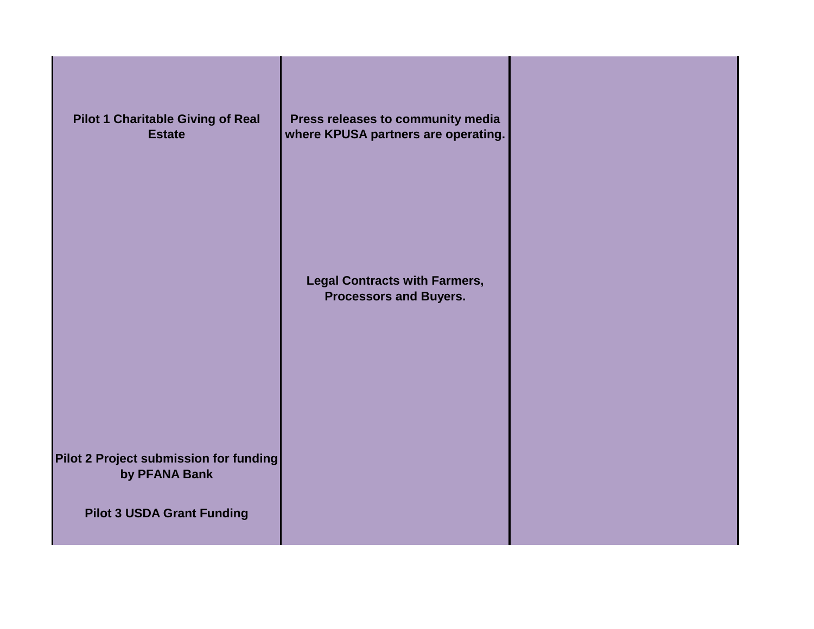| <b>Pilot 1 Charitable Giving of Real</b><br><b>Estate</b>                                    | Press releases to community media<br>where KPUSA partners are operating. |  |
|----------------------------------------------------------------------------------------------|--------------------------------------------------------------------------|--|
|                                                                                              | <b>Legal Contracts with Farmers,</b><br><b>Processors and Buyers.</b>    |  |
| Pilot 2 Project submission for funding<br>by PFANA Bank<br><b>Pilot 3 USDA Grant Funding</b> |                                                                          |  |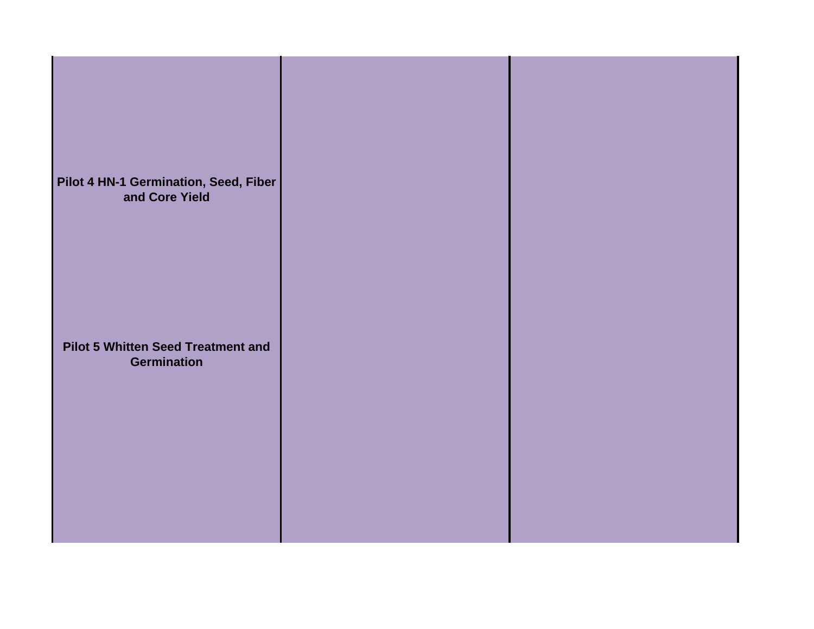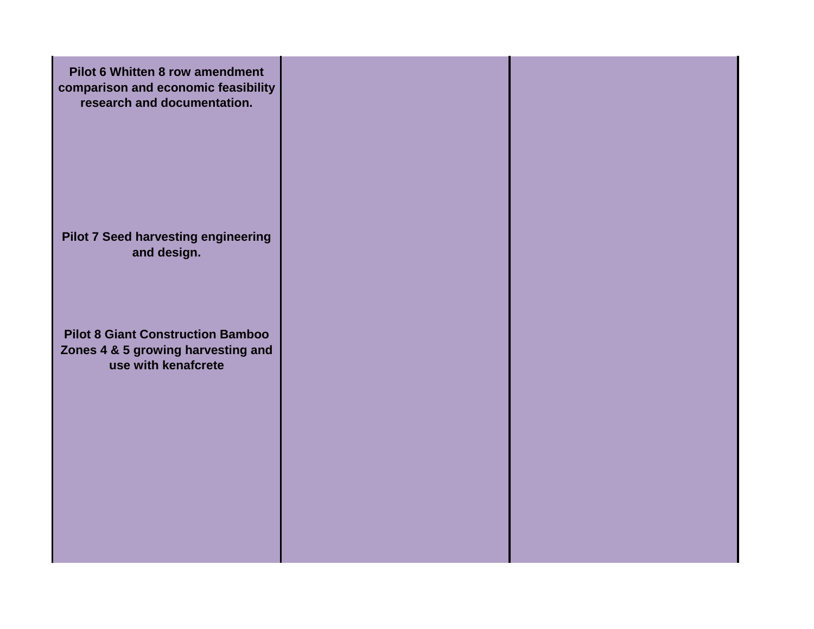| <b>Pilot 6 Whitten 8 row amendment</b><br>comparison and economic feasibility<br>research and documentation. |  |
|--------------------------------------------------------------------------------------------------------------|--|
| <b>Pilot 7 Seed harvesting engineering</b><br>and design.                                                    |  |
| <b>Pilot 8 Giant Construction Bamboo</b><br>Zones 4 & 5 growing harvesting and<br>use with kenafcrete        |  |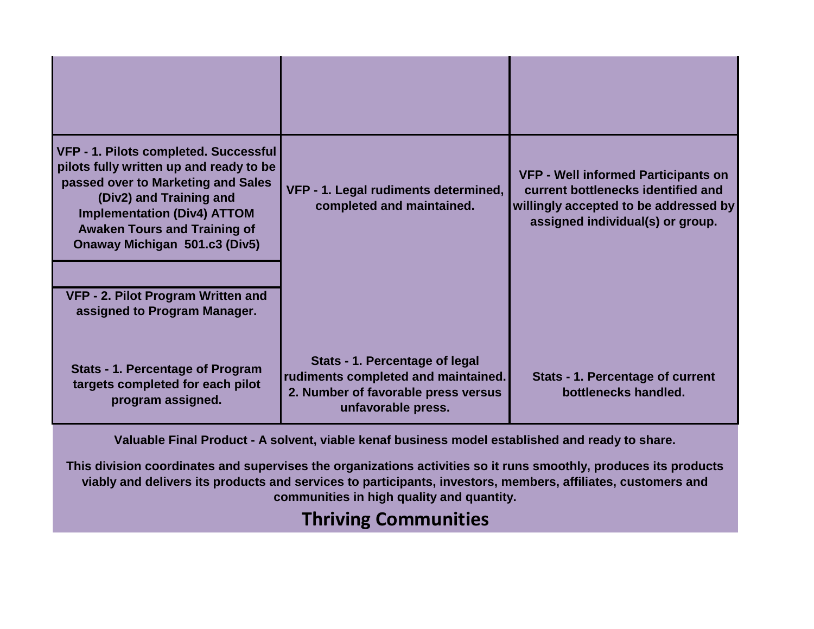| VFP - 1. Pilots completed. Successful<br>pilots fully written up and ready to be<br>passed over to Marketing and Sales<br>(Div2) and Training and<br><b>Implementation (Div4) ATTOM</b><br><b>Awaken Tours and Training of</b><br><b>Onaway Michigan 501.c3 (Div5)</b> | VFP - 1. Legal rudiments determined,<br>completed and maintained.                                                                  | <b>VFP - Well informed Participants on</b><br>current bottlenecks identified and<br>willingly accepted to be addressed by<br>assigned individual(s) or group. |
|------------------------------------------------------------------------------------------------------------------------------------------------------------------------------------------------------------------------------------------------------------------------|------------------------------------------------------------------------------------------------------------------------------------|---------------------------------------------------------------------------------------------------------------------------------------------------------------|
| VFP - 2. Pilot Program Written and<br>assigned to Program Manager.                                                                                                                                                                                                     |                                                                                                                                    |                                                                                                                                                               |
| Stats - 1. Percentage of Program<br>targets completed for each pilot<br>program assigned.                                                                                                                                                                              | Stats - 1. Percentage of legal<br>rudiments completed and maintained.<br>2. Number of favorable press versus<br>unfavorable press. | Stats - 1. Percentage of current<br>bottlenecks handled.                                                                                                      |

**Valuable Final Product - A solvent, viable kenaf business model established and ready to share.**

**This division coordinates and supervises the organizations activities so it runs smoothly, produces its products viably and delivers its products and services to participants, investors, members, affiliates, customers and communities in high quality and quantity.**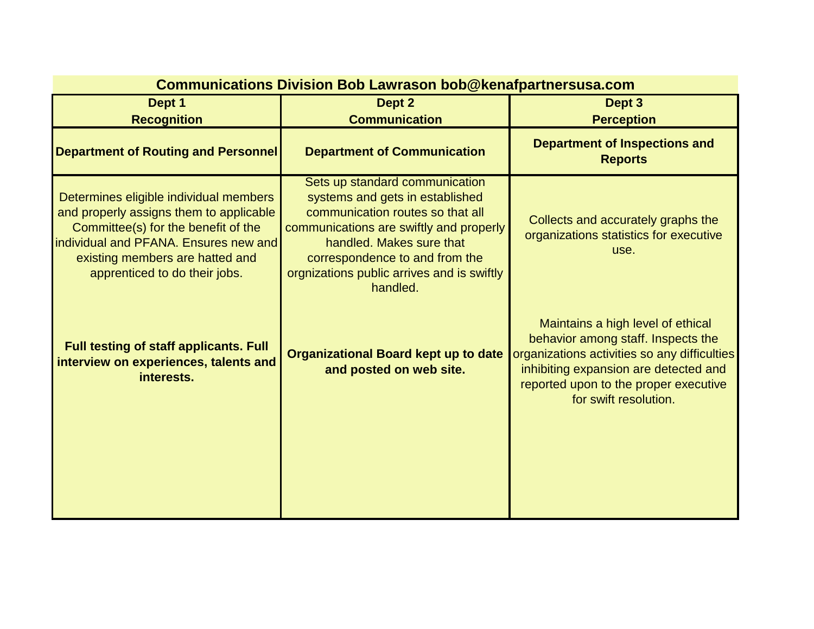| <b>Communications Division Bob Lawrason bob@kenafpartnersusa.com</b>                                                                                                                                                                  |                                                                                                                                                                                                                                                                          |                                                                                                                                                                                                                                    |
|---------------------------------------------------------------------------------------------------------------------------------------------------------------------------------------------------------------------------------------|--------------------------------------------------------------------------------------------------------------------------------------------------------------------------------------------------------------------------------------------------------------------------|------------------------------------------------------------------------------------------------------------------------------------------------------------------------------------------------------------------------------------|
| Dept 1<br><b>Recognition</b>                                                                                                                                                                                                          | Dept 2<br><b>Communication</b>                                                                                                                                                                                                                                           | Dept 3<br><b>Perception</b>                                                                                                                                                                                                        |
| <b>Department of Routing and Personnel</b>                                                                                                                                                                                            | <b>Department of Communication</b>                                                                                                                                                                                                                                       | <b>Department of Inspections and</b><br><b>Reports</b>                                                                                                                                                                             |
| Determines eligible individual members<br>and properly assigns them to applicable<br>Committee(s) for the benefit of the<br>individual and PFANA. Ensures new and<br>existing members are hatted and<br>apprenticed to do their jobs. | Sets up standard communication<br>systems and gets in established<br>communication routes so that all<br>communications are swiftly and properly<br>handled. Makes sure that<br>correspondence to and from the<br>orgnizations public arrives and is swiftly<br>handled. | Collects and accurately graphs the<br>organizations statistics for executive<br>use.                                                                                                                                               |
| Full testing of staff applicants. Full<br>interview on experiences, talents and<br>interests.                                                                                                                                         | <b>Organizational Board kept up to date</b><br>and posted on web site.                                                                                                                                                                                                   | Maintains a high level of ethical<br>behavior among staff. Inspects the<br>organizations activities so any difficulties<br>inhibiting expansion are detected and<br>reported upon to the proper executive<br>for swift resolution. |
|                                                                                                                                                                                                                                       |                                                                                                                                                                                                                                                                          |                                                                                                                                                                                                                                    |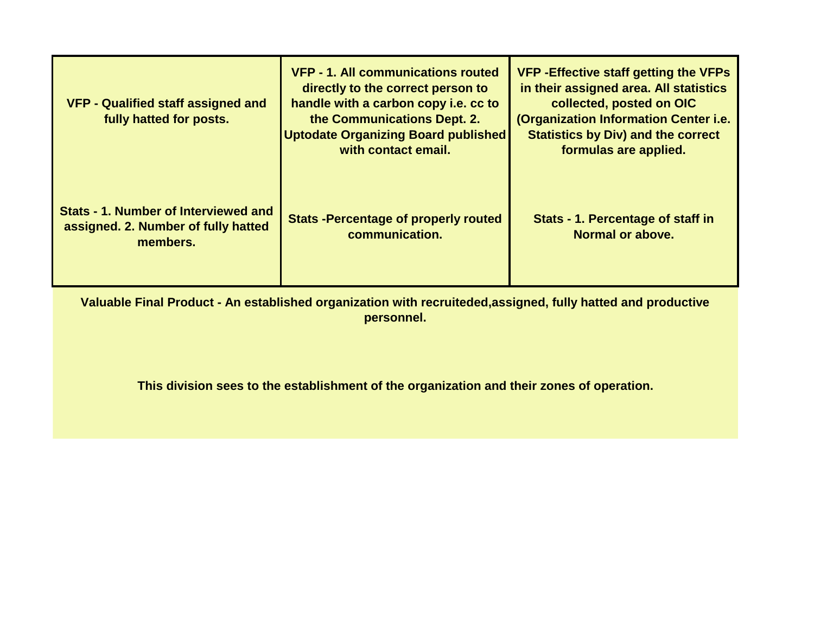| <b>VFP - Qualified staff assigned and</b><br>fully hatted for posts.                    | <b>VFP - 1. All communications routed</b><br>directly to the correct person to<br>handle with a carbon copy i.e. cc to<br>the Communications Dept. 2.<br>Uptodate Organizing Board published<br>with contact email. | <b>VFP-Effective staff getting the VFPs</b><br>in their assigned area. All statistics<br>collected, posted on OIC<br>(Organization Information Center i.e.<br><b>Statistics by Div) and the correct</b><br>formulas are applied. |
|-----------------------------------------------------------------------------------------|---------------------------------------------------------------------------------------------------------------------------------------------------------------------------------------------------------------------|----------------------------------------------------------------------------------------------------------------------------------------------------------------------------------------------------------------------------------|
| Stats - 1. Number of Interviewed and<br>assigned. 2. Number of fully hatted<br>members. | <b>Stats-Percentage of properly routed</b><br>communication.                                                                                                                                                        | Stats - 1. Percentage of staff in<br>Normal or above.                                                                                                                                                                            |

**Valuable Final Product - An established organization with recruiteded,assigned, fully hatted and productive personnel.**

**This division sees to the establishment of the organization and their zones of operation.**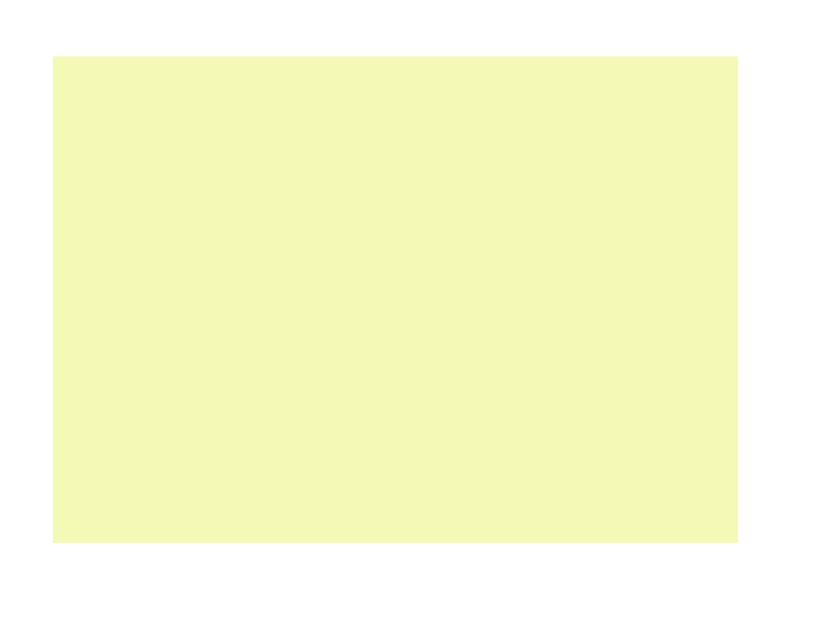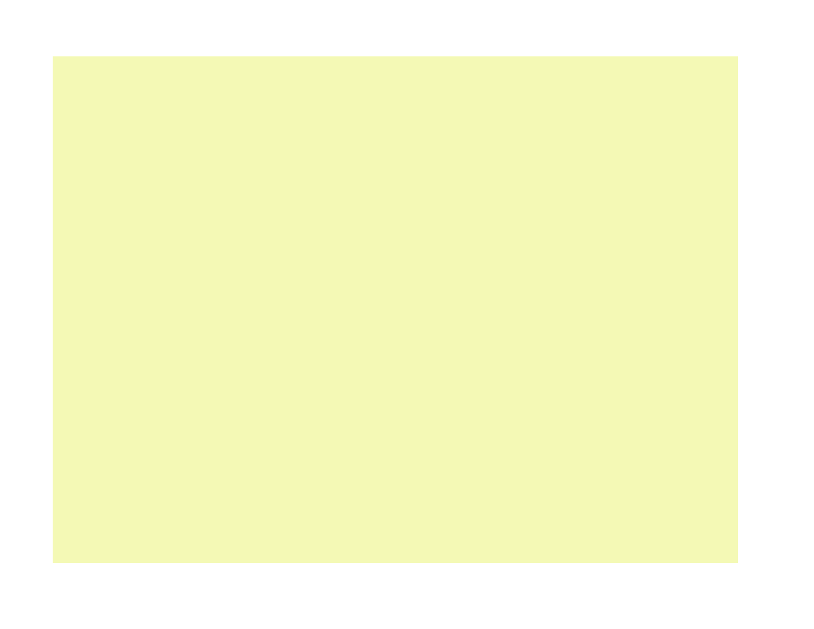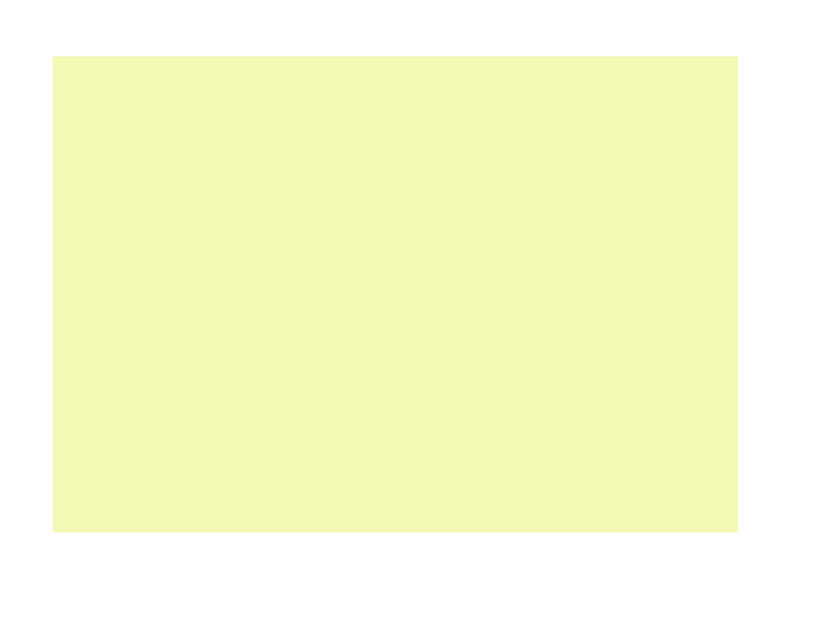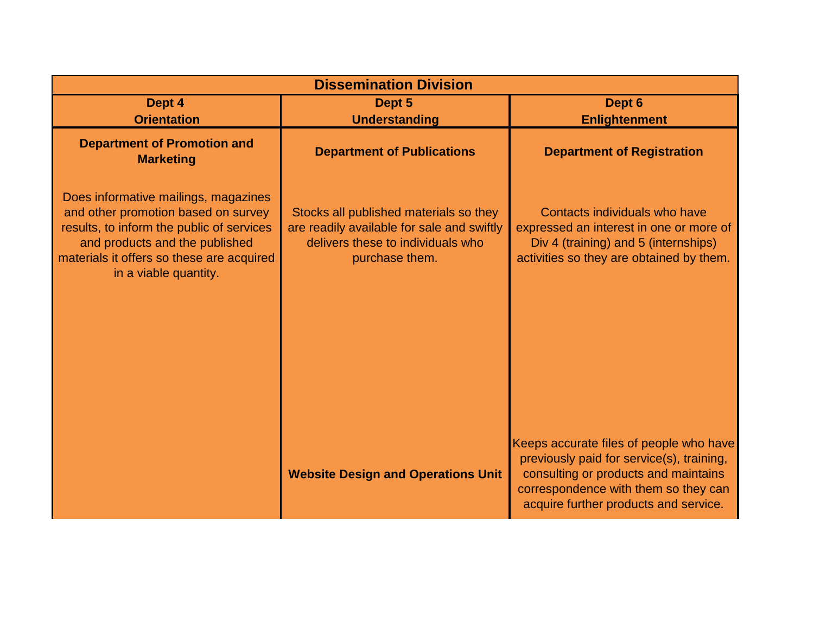| <b>Dissemination Division</b>                                                                                                                                                                                                    |                                                                                                                                             |                                                                                                                                                                                                               |
|----------------------------------------------------------------------------------------------------------------------------------------------------------------------------------------------------------------------------------|---------------------------------------------------------------------------------------------------------------------------------------------|---------------------------------------------------------------------------------------------------------------------------------------------------------------------------------------------------------------|
| Dept 4<br><b>Orientation</b>                                                                                                                                                                                                     | Dept 5<br><b>Understanding</b>                                                                                                              | Dept 6<br><b>Enlightenment</b>                                                                                                                                                                                |
| <b>Department of Promotion and</b><br><b>Marketing</b>                                                                                                                                                                           | <b>Department of Publications</b>                                                                                                           | <b>Department of Registration</b>                                                                                                                                                                             |
| Does informative mailings, magazines<br>and other promotion based on survey<br>results, to inform the public of services<br>and products and the published<br>materials it offers so these are acquired<br>in a viable quantity. | Stocks all published materials so they<br>are readily available for sale and swiftly<br>delivers these to individuals who<br>purchase them. | Contacts individuals who have<br>expressed an interest in one or more of<br>Div 4 (training) and 5 (internships)<br>activities so they are obtained by them.                                                  |
|                                                                                                                                                                                                                                  | <b>Website Design and Operations Unit</b>                                                                                                   | Keeps accurate files of people who have<br>previously paid for service(s), training,<br>consulting or products and maintains<br>correspondence with them so they can<br>acquire further products and service. |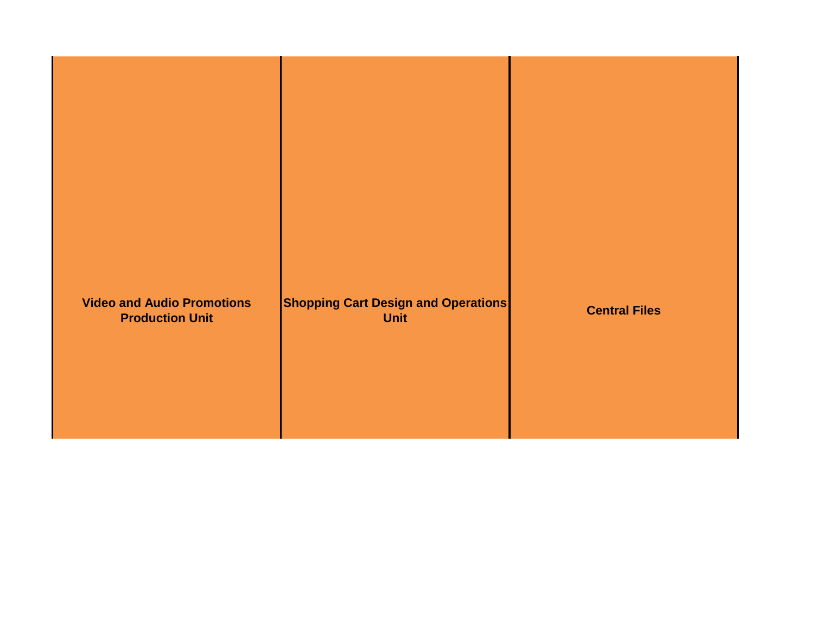| <b>Video and Audio Promotions</b><br><b>Production Unit</b> | <b>Shopping Cart Design and Operations</b><br><b>Unit</b> | <b>Central Files</b> |
|-------------------------------------------------------------|-----------------------------------------------------------|----------------------|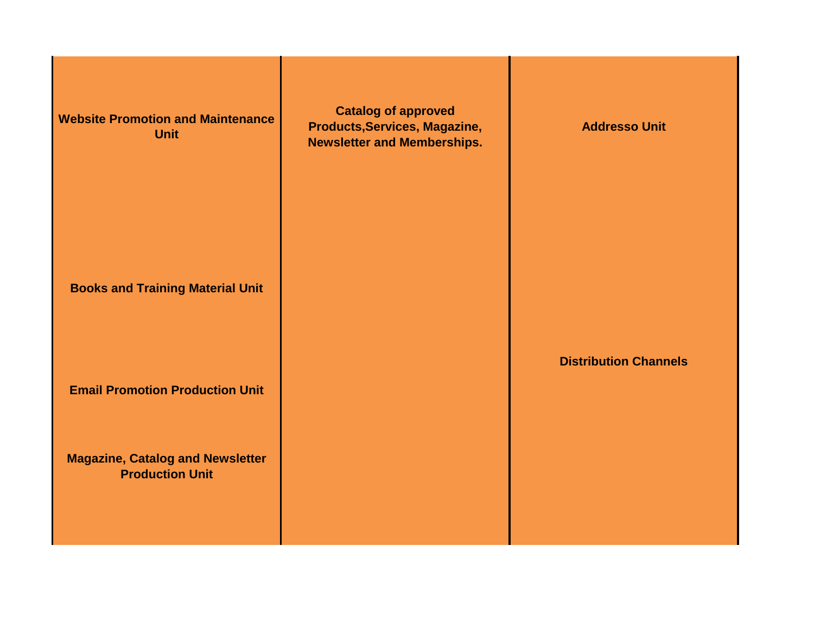| <b>Website Promotion and Maintenance</b><br><b>Unit</b>           | <b>Catalog of approved</b><br>Products, Services, Magazine,<br><b>Newsletter and Memberships.</b> | <b>Addresso Unit</b>         |
|-------------------------------------------------------------------|---------------------------------------------------------------------------------------------------|------------------------------|
| <b>Books and Training Material Unit</b>                           |                                                                                                   |                              |
| <b>Email Promotion Production Unit</b>                            |                                                                                                   | <b>Distribution Channels</b> |
| <b>Magazine, Catalog and Newsletter</b><br><b>Production Unit</b> |                                                                                                   |                              |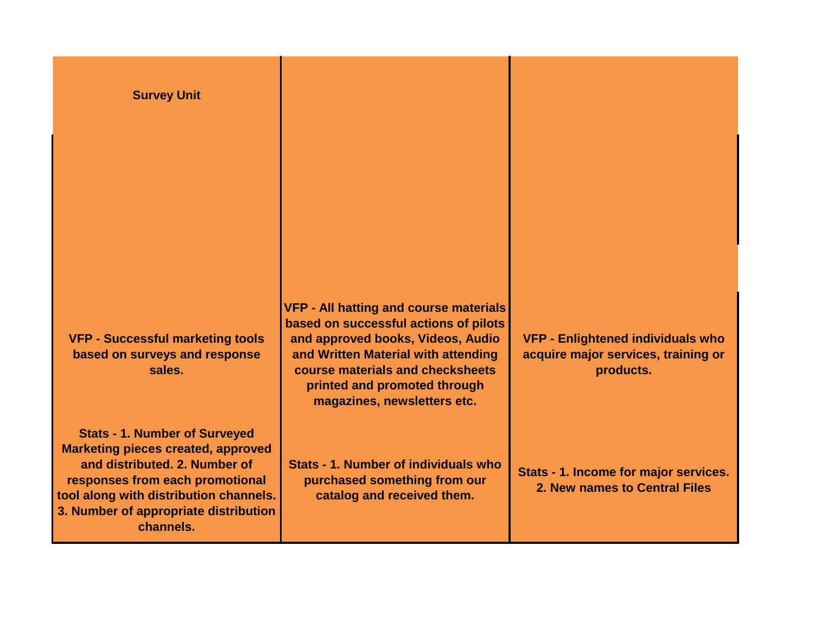| <b>Survey Unit</b>                                                                                                                                                                                                                                    |                                                                                                                                                                                                                                                                |                                                                                              |
|-------------------------------------------------------------------------------------------------------------------------------------------------------------------------------------------------------------------------------------------------------|----------------------------------------------------------------------------------------------------------------------------------------------------------------------------------------------------------------------------------------------------------------|----------------------------------------------------------------------------------------------|
|                                                                                                                                                                                                                                                       |                                                                                                                                                                                                                                                                |                                                                                              |
|                                                                                                                                                                                                                                                       |                                                                                                                                                                                                                                                                |                                                                                              |
| <b>VFP - Successful marketing tools</b><br>based on surveys and response<br>sales.                                                                                                                                                                    | VFP - All hatting and course materials<br>based on successful actions of pilots<br>and approved books, Videos, Audio<br>and Written Material with attending<br>course materials and checksheets<br>printed and promoted through<br>magazines, newsletters etc. | <b>VFP - Enlightened individuals who</b><br>acquire major services, training or<br>products. |
| <b>Stats - 1. Number of Surveyed</b><br><b>Marketing pieces created, approved</b><br>and distributed, 2. Number of<br>responses from each promotional<br>tool along with distribution channels.<br>3. Number of appropriate distribution<br>channels. | Stats - 1. Number of individuals who<br>purchased something from our<br>catalog and received them.                                                                                                                                                             | Stats - 1. Income for major services.<br>2. New names to Central Files                       |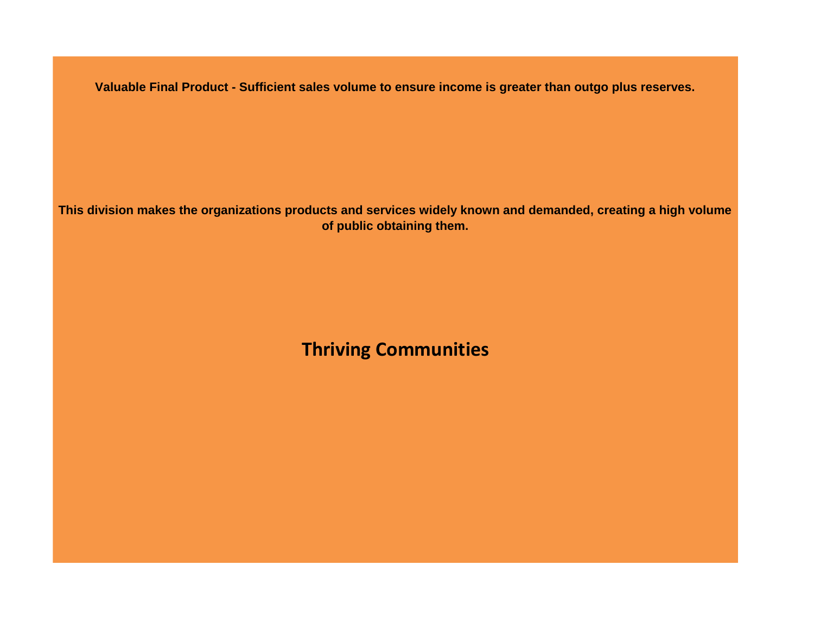**Valuable Final Product - Sufficient sales volume to ensure income is greater than outgo plus reserves.**

#### **This division makes the organizations products and services widely known and demanded, creating a high volume of public obtaining them.**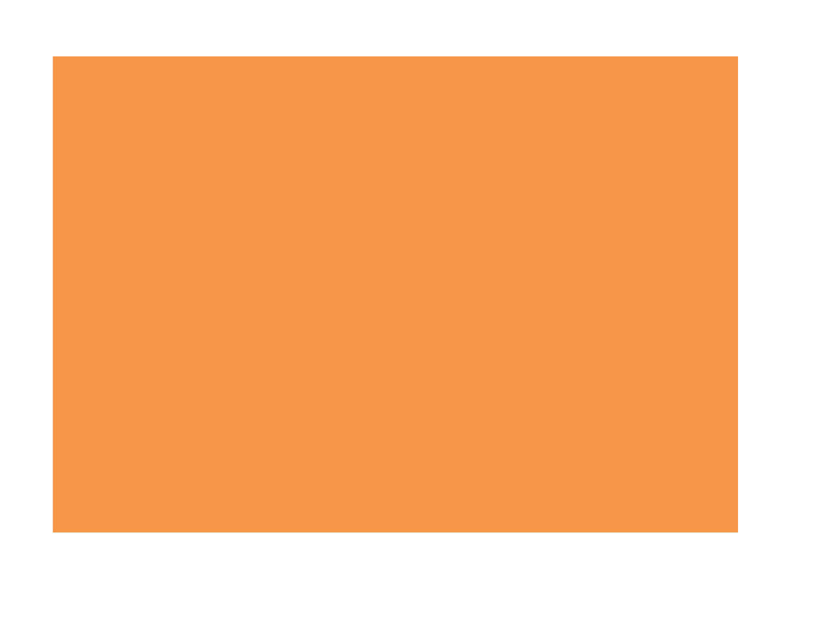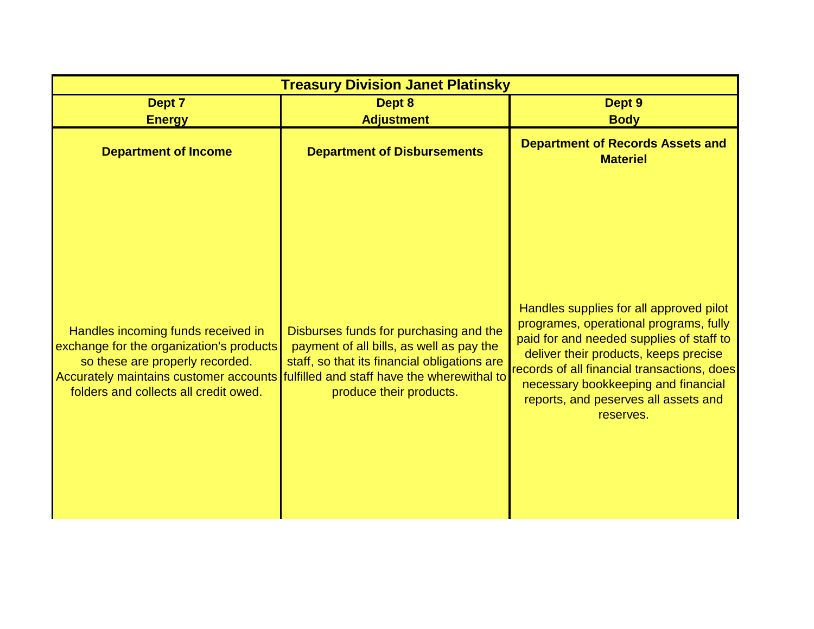| <b>Treasury Division Janet Platinsky</b>                                                                                                                   |                                                                                                                                                                                                                                                     |                                                                                                                                                                                                                                                                                                                   |
|------------------------------------------------------------------------------------------------------------------------------------------------------------|-----------------------------------------------------------------------------------------------------------------------------------------------------------------------------------------------------------------------------------------------------|-------------------------------------------------------------------------------------------------------------------------------------------------------------------------------------------------------------------------------------------------------------------------------------------------------------------|
| Dept 7                                                                                                                                                     | Dept 8                                                                                                                                                                                                                                              | Dept 9                                                                                                                                                                                                                                                                                                            |
| <b>Energy</b>                                                                                                                                              | <b>Adjustment</b>                                                                                                                                                                                                                                   | <b>Body</b>                                                                                                                                                                                                                                                                                                       |
| <b>Department of Income</b>                                                                                                                                | <b>Department of Disbursements</b>                                                                                                                                                                                                                  | <b>Department of Records Assets and</b><br><b>Materiel</b>                                                                                                                                                                                                                                                        |
| Handles incoming funds received in<br>exchange for the organization's products<br>so these are properly recorded.<br>folders and collects all credit owed. | Disburses funds for purchasing and the<br>payment of all bills, as well as pay the<br>staff, so that its financial obligations are<br>Accurately maintains customer accounts fulfilled and staff have the wherewithal to<br>produce their products. | Handles supplies for all approved pilot<br>programes, operational programs, fully<br>paid for and needed supplies of staff to<br>deliver their products, keeps precise<br>records of all financial transactions, does<br>necessary bookkeeping and financial<br>reports, and peserves all assets and<br>reserves. |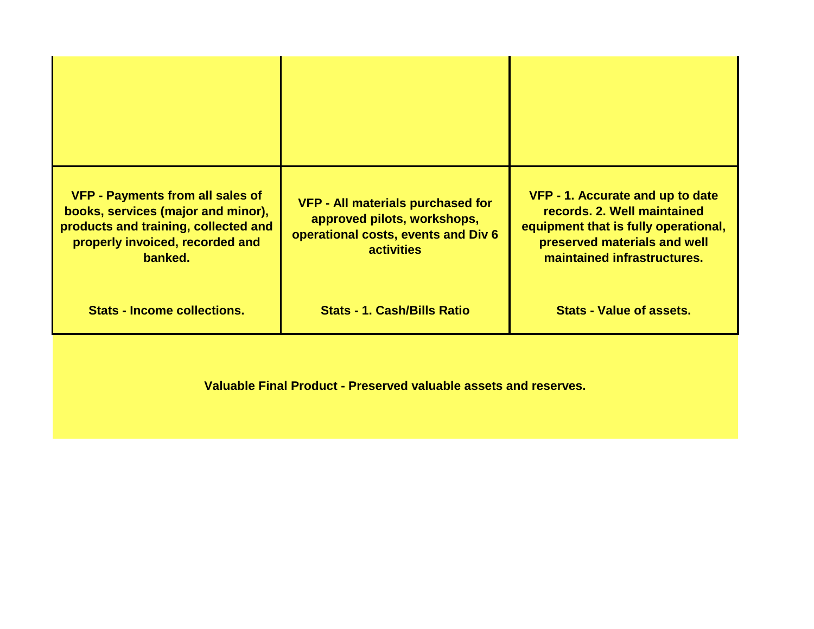| <b>VFP - Payments from all sales of</b><br>books, services (major and minor),<br>products and training, collected and<br>properly invoiced, recorded and<br>banked. | <b>VFP - All materials purchased for</b><br>approved pilots, workshops,<br>operational costs, events and Div 6<br><b>activities</b> | VFP - 1. Accurate and up to date<br>records. 2. Well maintained<br>equipment that is fully operational,<br>preserved materials and well<br>maintained infrastructures. |
|---------------------------------------------------------------------------------------------------------------------------------------------------------------------|-------------------------------------------------------------------------------------------------------------------------------------|------------------------------------------------------------------------------------------------------------------------------------------------------------------------|
| <b>Stats - Income collections.</b>                                                                                                                                  | <b>Stats - 1. Cash/Bills Ratio</b>                                                                                                  | <b>Stats - Value of assets.</b>                                                                                                                                        |

**Valuable Final Product - Preserved valuable assets and reserves.**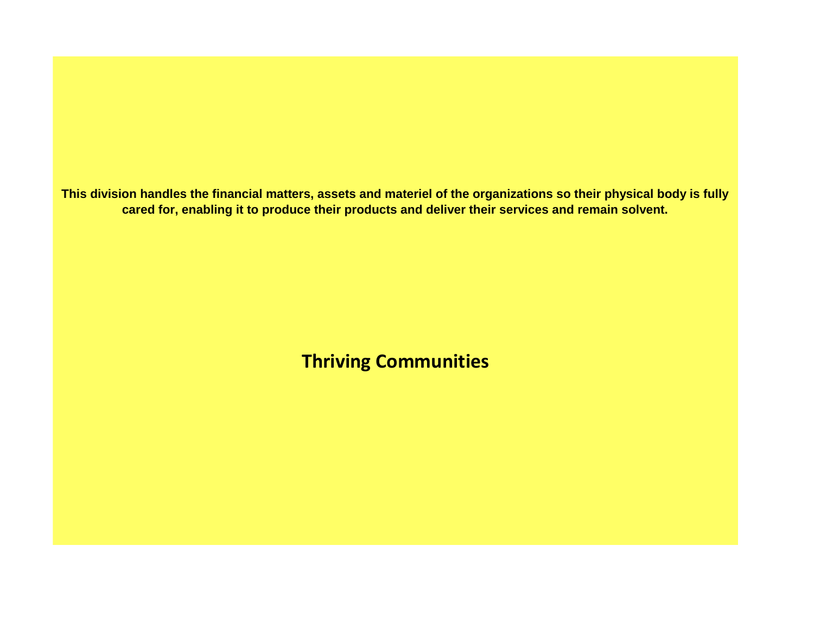**This division handles the financial matters, assets and materiel of the organizations so their physical body is fully cared for, enabling it to produce their products and deliver their services and remain solvent.**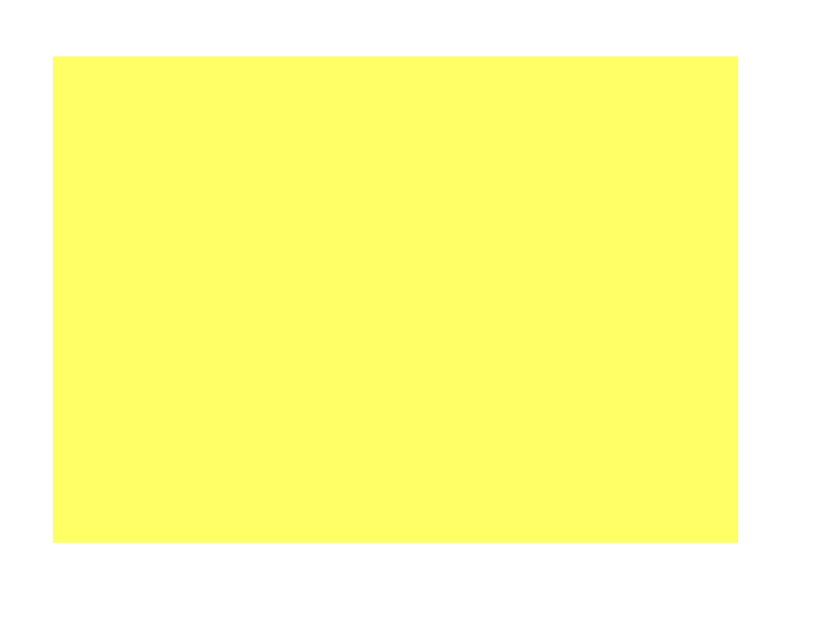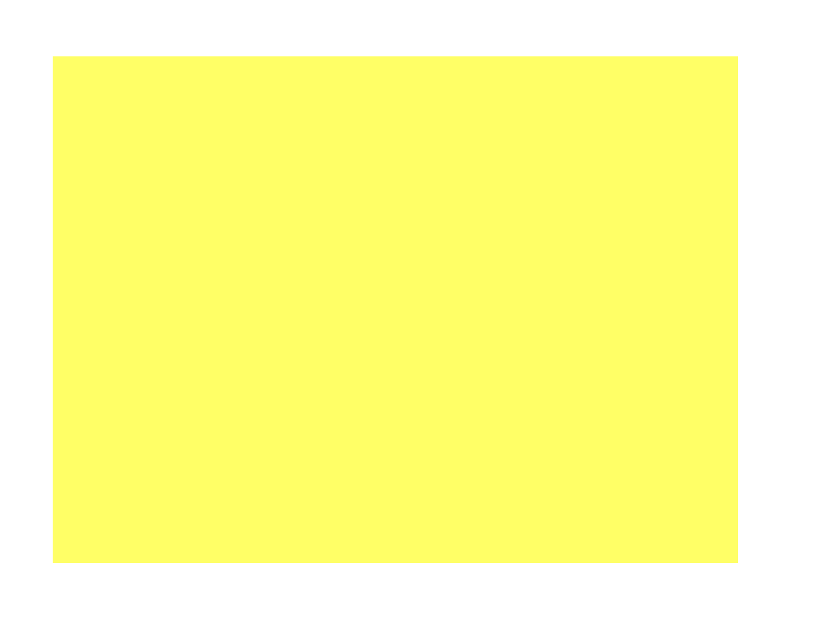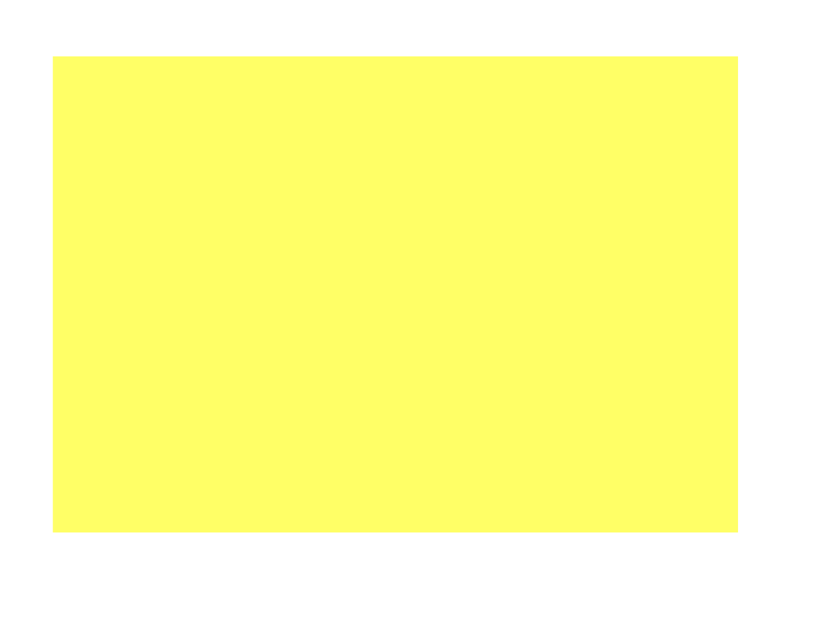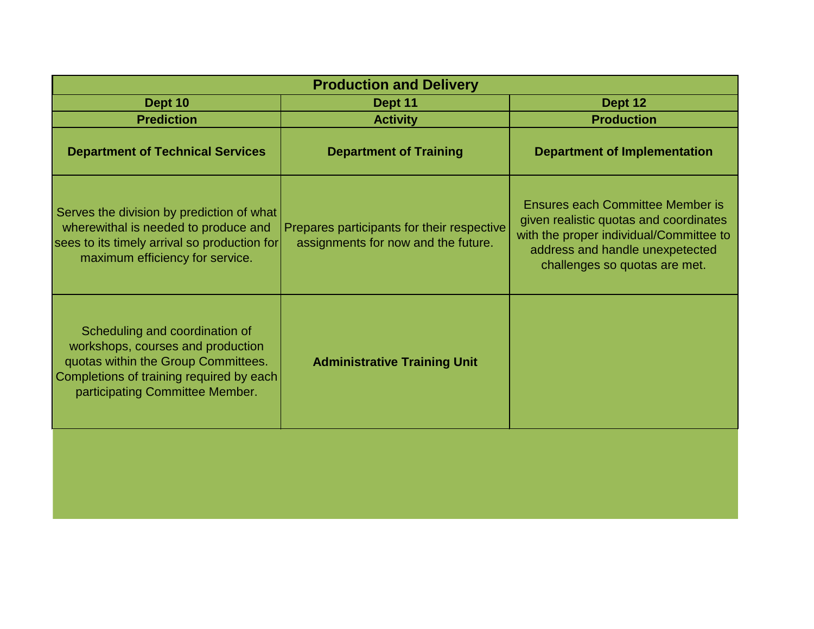| <b>Production and Delivery</b>                                                                                                                                                            |                                                                                   |                                                                                                                                                                                                  |
|-------------------------------------------------------------------------------------------------------------------------------------------------------------------------------------------|-----------------------------------------------------------------------------------|--------------------------------------------------------------------------------------------------------------------------------------------------------------------------------------------------|
| Dept 10                                                                                                                                                                                   | Dept 11                                                                           | Dept 12                                                                                                                                                                                          |
| <b>Prediction</b>                                                                                                                                                                         | <b>Activity</b>                                                                   | <b>Production</b>                                                                                                                                                                                |
| <b>Department of Technical Services</b>                                                                                                                                                   | <b>Department of Training</b>                                                     | <b>Department of Implementation</b>                                                                                                                                                              |
| Serves the division by prediction of what<br>wherewithal is needed to produce and<br>sees to its timely arrival so production for<br>maximum efficiency for service.                      | Prepares participants for their respective<br>assignments for now and the future. | <b>Ensures each Committee Member is</b><br>given realistic quotas and coordinates<br>with the proper individual/Committee to<br>address and handle unexpetected<br>challenges so quotas are met. |
| Scheduling and coordination of<br>workshops, courses and production<br>quotas within the Group Committees.<br>Completions of training required by each<br>participating Committee Member. | <b>Administrative Training Unit</b>                                               |                                                                                                                                                                                                  |
|                                                                                                                                                                                           |                                                                                   |                                                                                                                                                                                                  |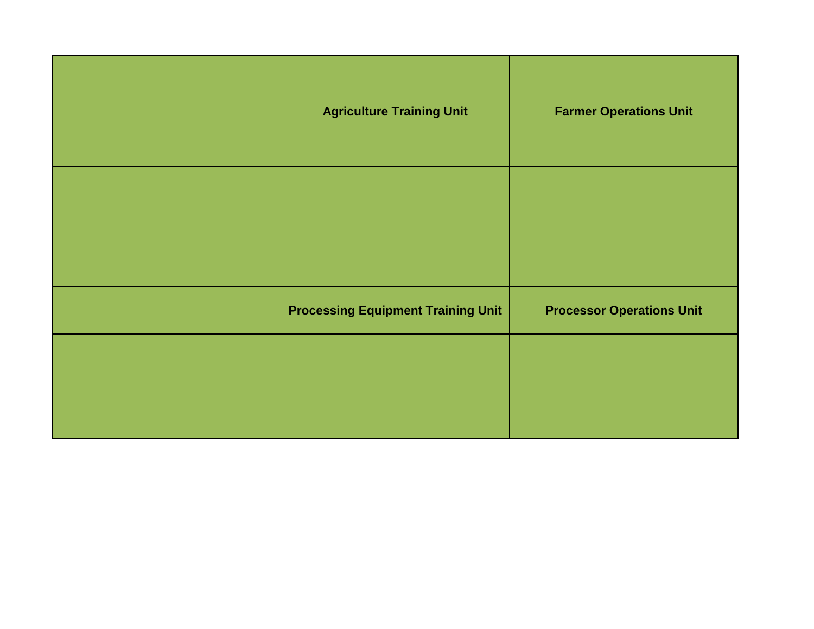| <b>Agriculture Training Unit</b>          | <b>Farmer Operations Unit</b>    |
|-------------------------------------------|----------------------------------|
|                                           |                                  |
| <b>Processing Equipment Training Unit</b> | <b>Processor Operations Unit</b> |
|                                           |                                  |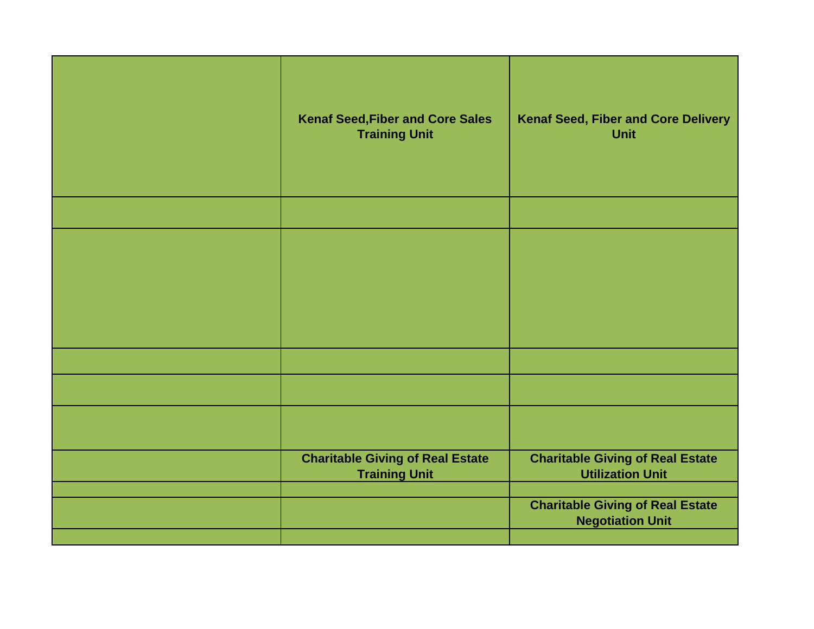| <b>Kenaf Seed, Fiber and Core Sales</b><br><b>Training Unit</b> | <b>Kenaf Seed, Fiber and Core Delivery</b><br><b>Unit</b>          |
|-----------------------------------------------------------------|--------------------------------------------------------------------|
|                                                                 |                                                                    |
|                                                                 |                                                                    |
|                                                                 |                                                                    |
|                                                                 |                                                                    |
| <b>Charitable Giving of Real Estate</b><br><b>Training Unit</b> | <b>Charitable Giving of Real Estate</b><br><b>Utilization Unit</b> |
|                                                                 |                                                                    |
|                                                                 | <b>Charitable Giving of Real Estate</b><br><b>Negotiation Unit</b> |
|                                                                 |                                                                    |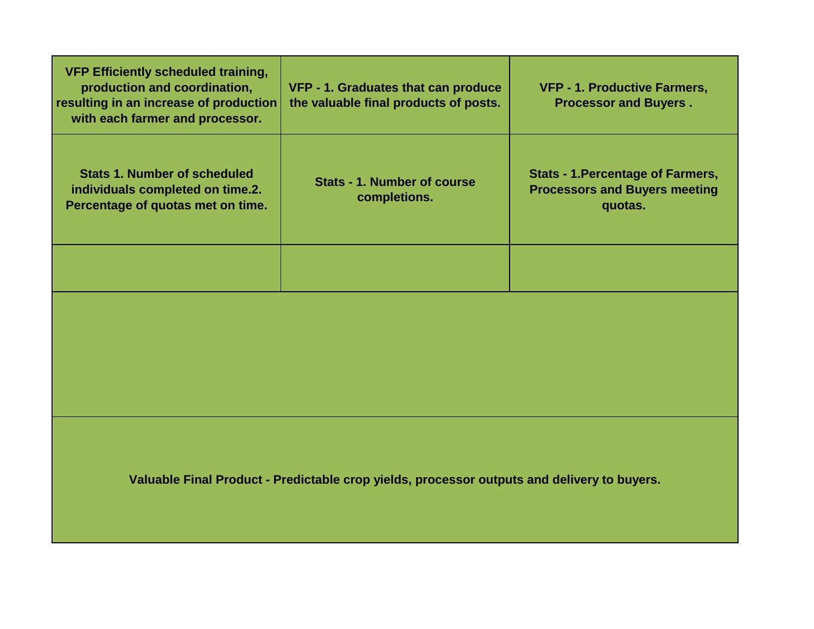| <b>VFP Efficiently scheduled training,</b><br>production and coordination,<br>resulting in an increase of production<br>with each farmer and processor. | VFP - 1. Graduates that can produce<br>the valuable final products of posts. | <b>VFP - 1. Productive Farmers,</b><br><b>Processor and Buyers.</b>                         |
|---------------------------------------------------------------------------------------------------------------------------------------------------------|------------------------------------------------------------------------------|---------------------------------------------------------------------------------------------|
| <b>Stats 1. Number of scheduled</b><br>individuals completed on time.2.<br>Percentage of quotas met on time.                                            | <b>Stats - 1. Number of course</b><br>completions.                           | <b>Stats - 1. Percentage of Farmers,</b><br><b>Processors and Buyers meeting</b><br>quotas. |
|                                                                                                                                                         |                                                                              |                                                                                             |
|                                                                                                                                                         |                                                                              |                                                                                             |
|                                                                                                                                                         |                                                                              |                                                                                             |
| Valuable Final Product - Predictable crop yields, processor outputs and delivery to buyers.                                                             |                                                                              |                                                                                             |
|                                                                                                                                                         |                                                                              |                                                                                             |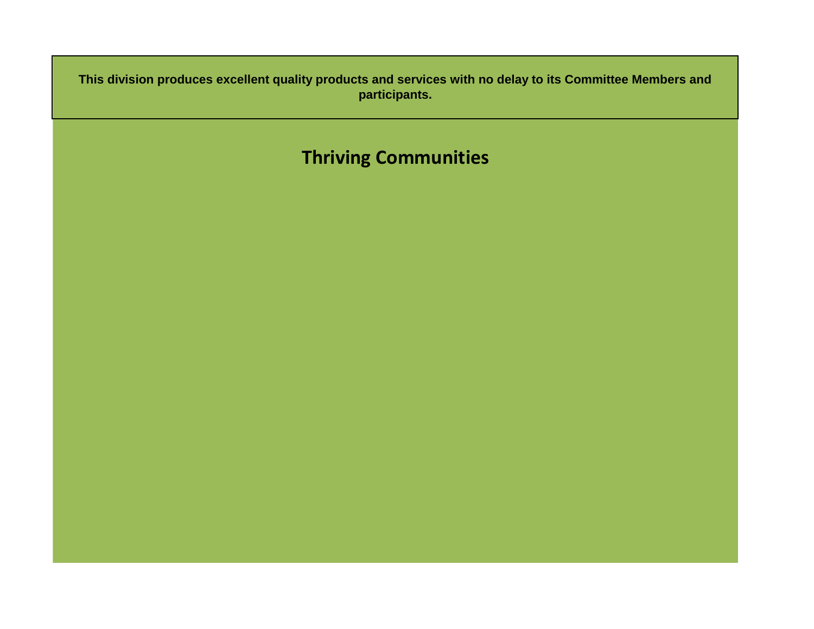**This division produces excellent quality products and services with no delay to its Committee Members and participants.**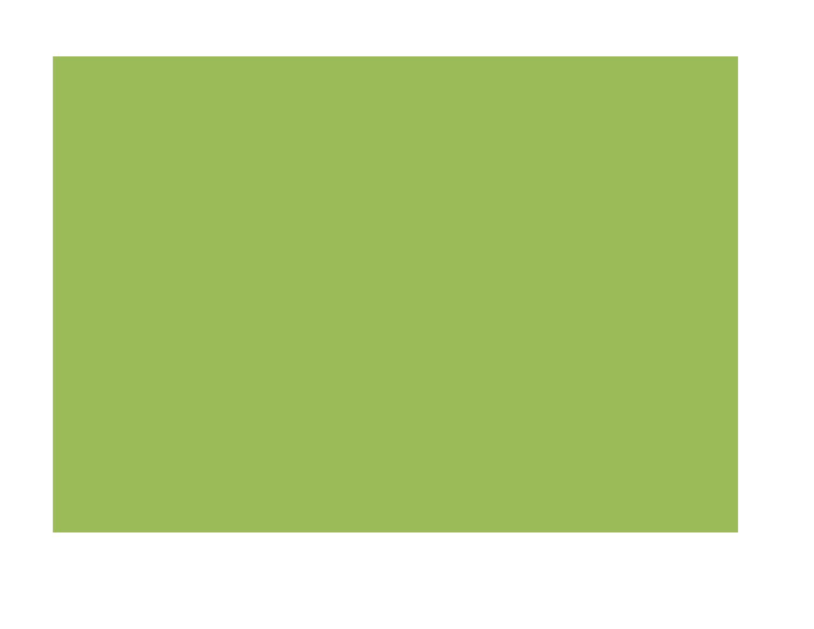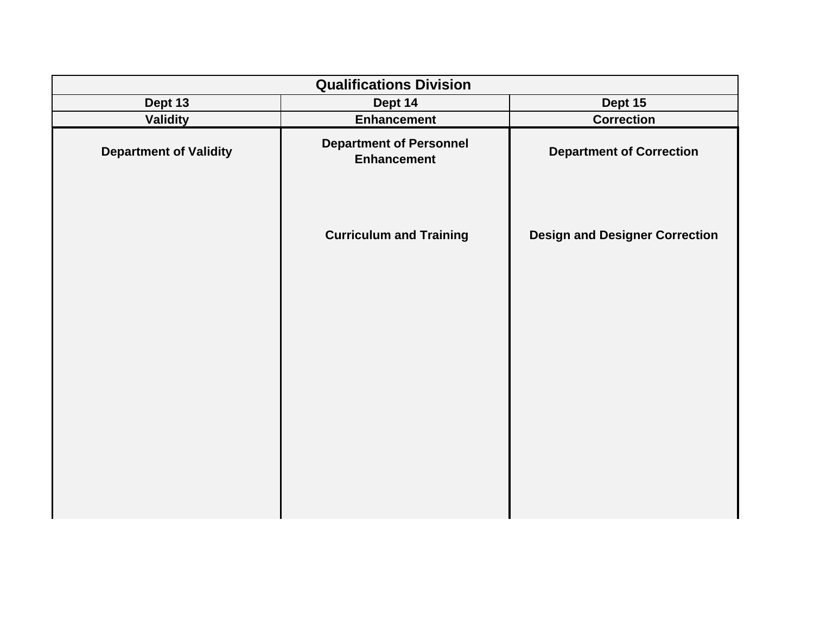| <b>Qualifications Division</b> |                                                      |                                       |
|--------------------------------|------------------------------------------------------|---------------------------------------|
| Dept 13                        | Dept 14                                              | Dept 15                               |
| <b>Validity</b>                | <b>Enhancement</b>                                   | <b>Correction</b>                     |
| <b>Department of Validity</b>  | <b>Department of Personnel</b><br><b>Enhancement</b> | <b>Department of Correction</b>       |
|                                | <b>Curriculum and Training</b>                       | <b>Design and Designer Correction</b> |
|                                |                                                      |                                       |
|                                |                                                      |                                       |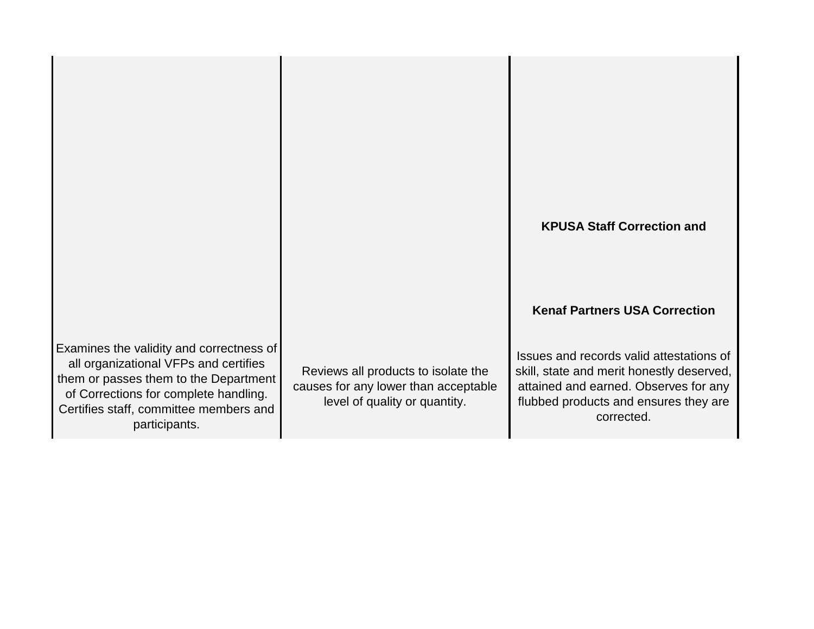|                                                                                                                                                                                                                                |                                                                                                              | <b>KPUSA Staff Correction and</b>                                                                                                                                                     |
|--------------------------------------------------------------------------------------------------------------------------------------------------------------------------------------------------------------------------------|--------------------------------------------------------------------------------------------------------------|---------------------------------------------------------------------------------------------------------------------------------------------------------------------------------------|
|                                                                                                                                                                                                                                |                                                                                                              | <b>Kenaf Partners USA Correction</b>                                                                                                                                                  |
| Examines the validity and correctness of<br>all organizational VFPs and certifies<br>them or passes them to the Department<br>of Corrections for complete handling.<br>Certifies staff, committee members and<br>participants. | Reviews all products to isolate the<br>causes for any lower than acceptable<br>level of quality or quantity. | Issues and records valid attestations of<br>skill, state and merit honestly deserved,<br>attained and earned. Observes for any<br>flubbed products and ensures they are<br>corrected. |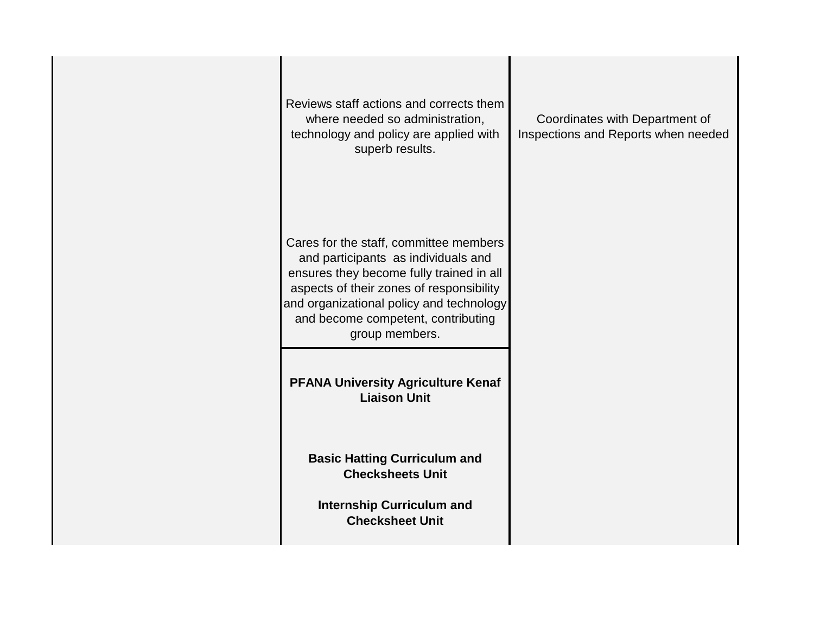| Reviews staff actions and corrects them<br>where needed so administration,<br>technology and policy are applied with<br>superb results.                                                                                                                                   | Coordinates with Department of<br>Inspections and Reports when needed |
|---------------------------------------------------------------------------------------------------------------------------------------------------------------------------------------------------------------------------------------------------------------------------|-----------------------------------------------------------------------|
| Cares for the staff, committee members<br>and participants as individuals and<br>ensures they become fully trained in all<br>aspects of their zones of responsibility<br>and organizational policy and technology<br>and become competent, contributing<br>group members. |                                                                       |
| <b>PFANA University Agriculture Kenaf</b><br><b>Liaison Unit</b>                                                                                                                                                                                                          |                                                                       |
| <b>Basic Hatting Curriculum and</b><br><b>Checksheets Unit</b><br><b>Internship Curriculum and</b><br><b>Checksheet Unit</b>                                                                                                                                              |                                                                       |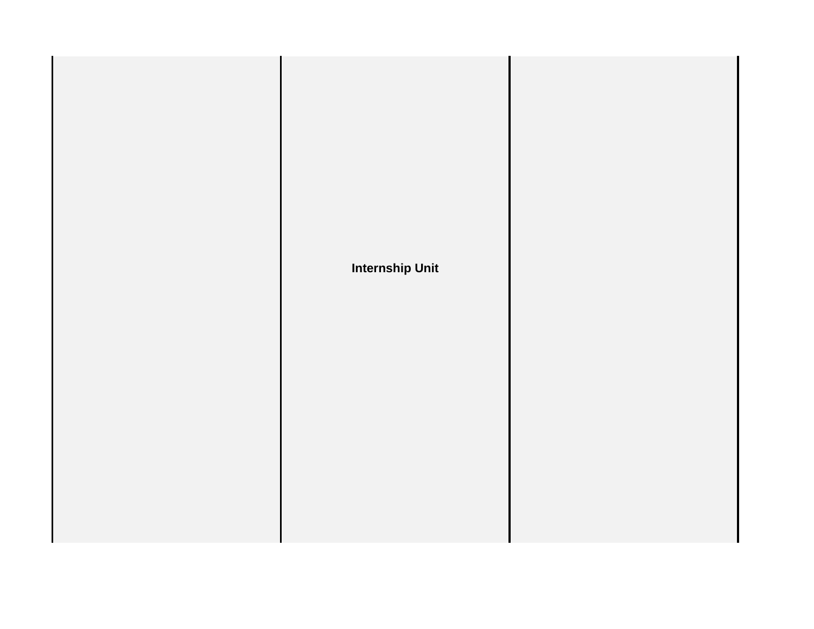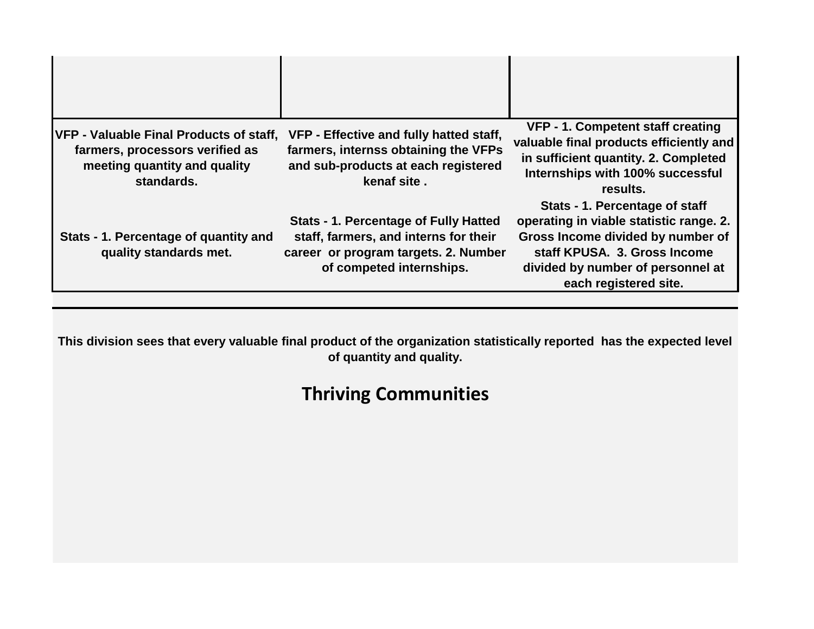| VFP - Valuable Final Products of staff,<br>farmers, processors verified as<br>meeting quantity and quality<br>standards. | VFP - Effective and fully hatted staff,<br>farmers, internss obtaining the VFPs<br>and sub-products at each registered<br>kenaf site.              | VFP - 1. Competent staff creating<br>valuable final products efficiently and<br>in sufficient quantity. 2. Completed<br>Internships with 100% successful<br>results.                                         |
|--------------------------------------------------------------------------------------------------------------------------|----------------------------------------------------------------------------------------------------------------------------------------------------|--------------------------------------------------------------------------------------------------------------------------------------------------------------------------------------------------------------|
| Stats - 1. Percentage of quantity and<br>quality standards met.                                                          | Stats - 1. Percentage of Fully Hatted<br>staff, farmers, and interns for their<br>career or program targets. 2. Number<br>of competed internships. | Stats - 1. Percentage of staff<br>operating in viable statistic range. 2.<br>Gross Income divided by number of<br>staff KPUSA, 3. Gross Income<br>divided by number of personnel at<br>each registered site. |

**This division sees that every valuable final product of the organization statistically reported has the expected level of quantity and quality.**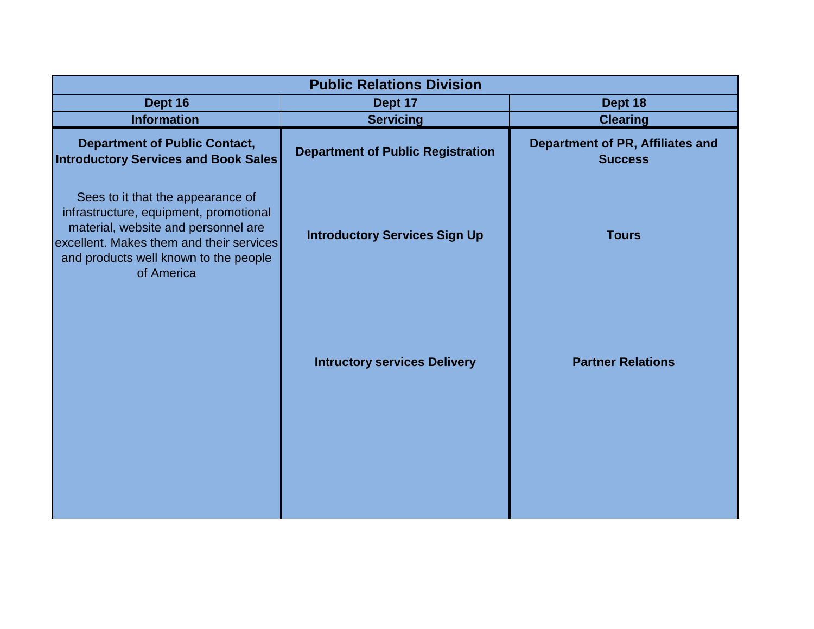| <b>Public Relations Division</b>                                                                                                                                                                                      |                                          |                                                    |
|-----------------------------------------------------------------------------------------------------------------------------------------------------------------------------------------------------------------------|------------------------------------------|----------------------------------------------------|
| Dept 16                                                                                                                                                                                                               | Dept 17                                  | Dept 18                                            |
| <b>Information</b>                                                                                                                                                                                                    | <b>Servicing</b>                         | <b>Clearing</b>                                    |
| <b>Department of Public Contact,</b><br><b>Introductory Services and Book Sales</b>                                                                                                                                   | <b>Department of Public Registration</b> | Department of PR, Affiliates and<br><b>Success</b> |
| Sees to it that the appearance of<br>infrastructure, equipment, promotional<br>material, website and personnel are<br>excellent. Makes them and their services<br>and products well known to the people<br>of America | <b>Introductory Services Sign Up</b>     | <b>Tours</b>                                       |
|                                                                                                                                                                                                                       | <b>Intructory services Delivery</b>      | <b>Partner Relations</b>                           |
|                                                                                                                                                                                                                       |                                          |                                                    |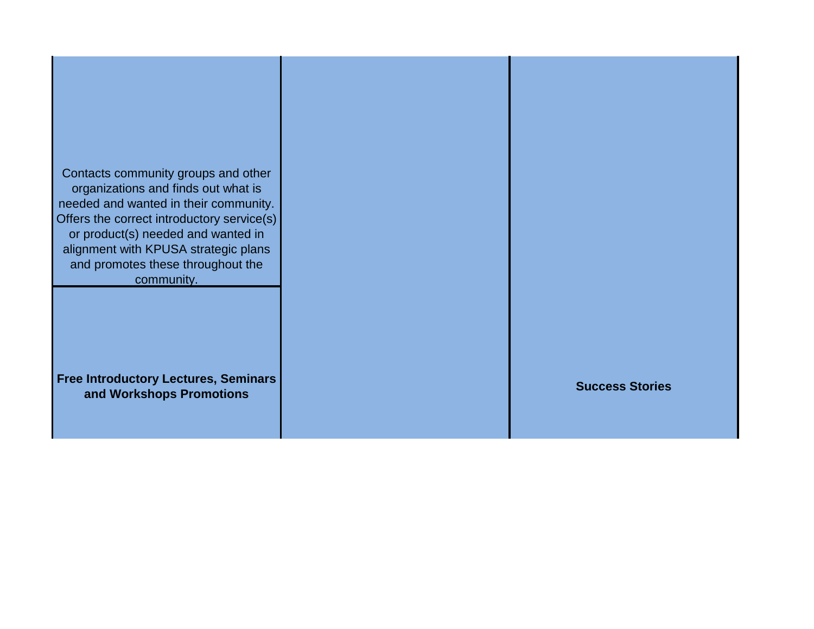| Contacts community groups and other<br>organizations and finds out what is<br>needed and wanted in their community.<br>Offers the correct introductory service(s)<br>or product(s) needed and wanted in<br>alignment with KPUSA strategic plans<br>and promotes these throughout the<br>community. |                        |
|----------------------------------------------------------------------------------------------------------------------------------------------------------------------------------------------------------------------------------------------------------------------------------------------------|------------------------|
| <b>Free Introductory Lectures, Seminars</b><br>and Workshops Promotions                                                                                                                                                                                                                            | <b>Success Stories</b> |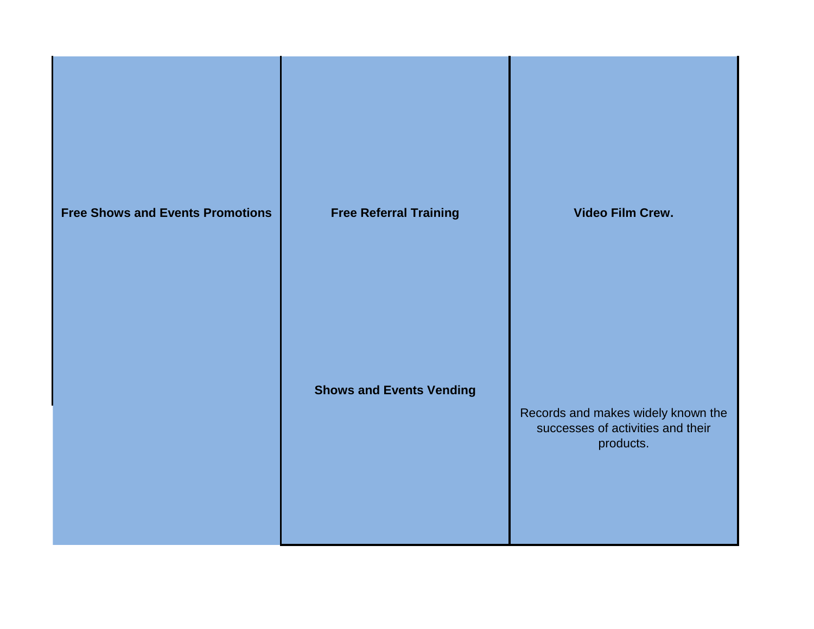| <b>Free Shows and Events Promotions</b> | <b>Free Referral Training</b>   | <b>Video Film Crew.</b>                                                              |
|-----------------------------------------|---------------------------------|--------------------------------------------------------------------------------------|
|                                         | <b>Shows and Events Vending</b> | Records and makes widely known the<br>successes of activities and their<br>products. |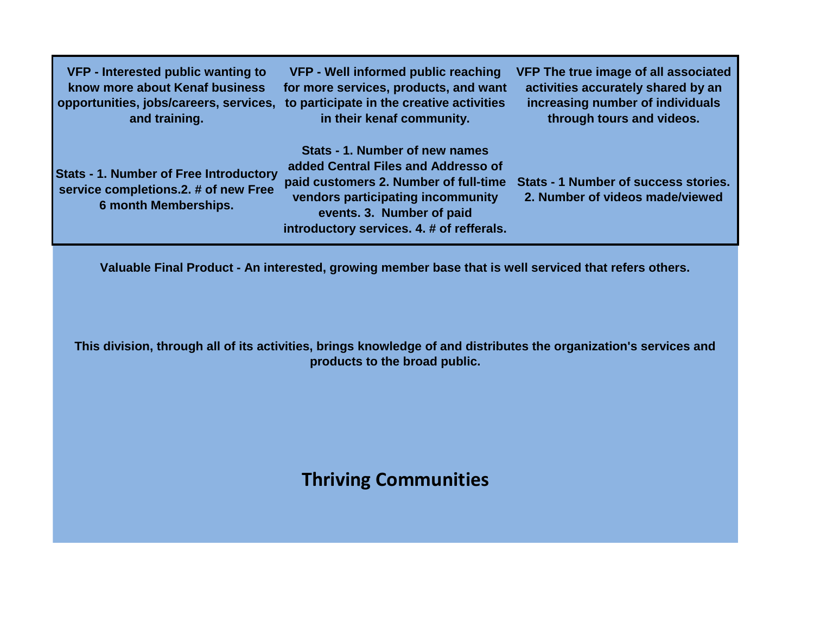| VFP - Interested public wanting to                                                                                   | VFP - Well informed public reaching                                                                                                                                                                                           | <b>VFP The true image of all associated</b>                             |
|----------------------------------------------------------------------------------------------------------------------|-------------------------------------------------------------------------------------------------------------------------------------------------------------------------------------------------------------------------------|-------------------------------------------------------------------------|
| know more about Kenaf business                                                                                       | for more services, products, and want                                                                                                                                                                                         | activities accurately shared by an                                      |
| opportunities, jobs/careers, services,                                                                               | to participate in the creative activities                                                                                                                                                                                     | increasing number of individuals                                        |
| and training.                                                                                                        | in their kenaf community.                                                                                                                                                                                                     | through tours and videos.                                               |
| <b>Stats - 1. Number of Free Introductory</b><br>service completions.2. # of new Free<br><b>6 month Memberships.</b> | Stats - 1. Number of new names<br>added Central Files and Addresso of<br>paid customers 2. Number of full-time<br>vendors participating incommunity<br>events. 3. Number of paid<br>introductory services. 4. # of refferals. | Stats - 1 Number of success stories.<br>2. Number of videos made/viewed |

**Valuable Final Product - An interested, growing member base that is well serviced that refers others.**

**This division, through all of its activities, brings knowledge of and distributes the organization's services and products to the broad public.**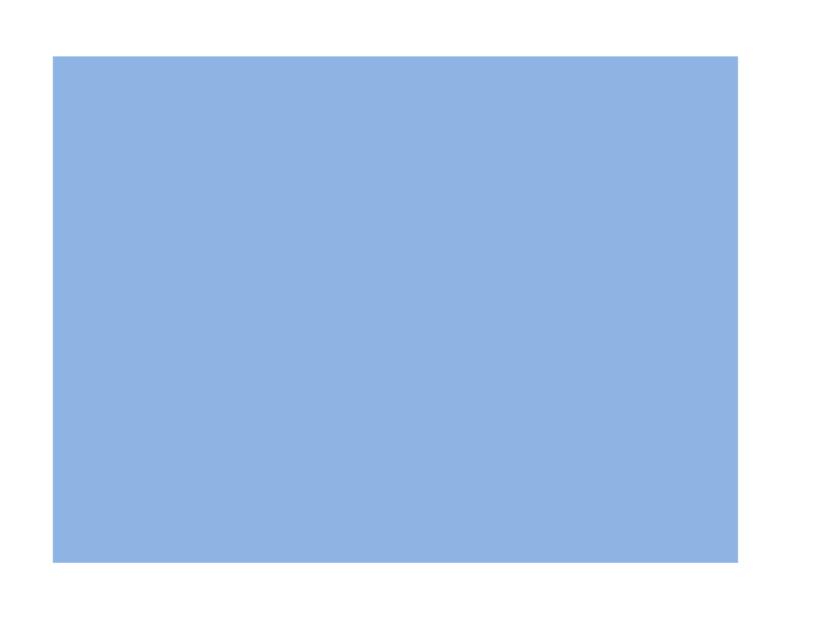